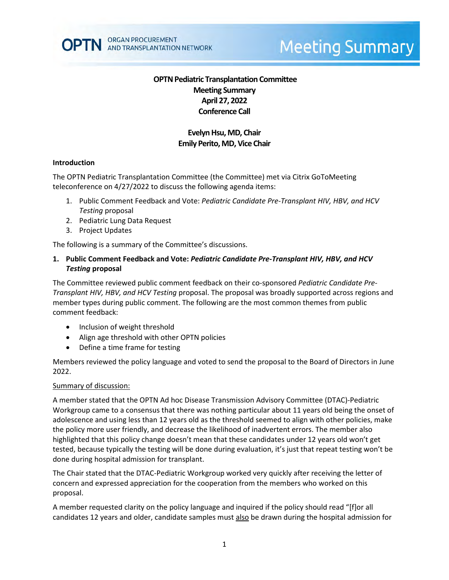

# **Meeting Summary**

# **OPTN Pediatric Transplantation Committee Meeting Summary April 27, 2022 Conference Call**

# **Evelyn Hsu, MD, Chair Emily Perito, MD, Vice Chair**

#### **Introduction**

The OPTN Pediatric Transplantation Committee (the Committee) met via Citrix GoToMeeting teleconference on 4/27/2022 to discuss the following agenda items:

- 1. Public Comment Feedback and Vote: *Pediatric Candidate Pre-Transplant HIV, HBV, and HCV Testing* proposal
- 2. Pediatric Lung Data Request
- 3. Project Updates

The following is a summary of the Committee's discussions.

### **1. Public Comment Feedback and Vote:** *Pediatric Candidate Pre-Transplant HIV, HBV, and HCV Testing* **proposal**

The Committee reviewed public comment feedback on their co-sponsored *Pediatric Candidate Pre-Transplant HIV, HBV, and HCV Testing* proposal. The proposal was broadly supported across regions and member types during public comment. The following are the most common themes from public comment feedback:

- Inclusion of weight threshold
- Align age threshold with other OPTN policies
- Define a time frame for testing

Members reviewed the policy language and voted to send the proposal to the Board of Directors in June 2022.

#### Summary of discussion:

A member stated that the OPTN Ad hoc Disease Transmission Advisory Committee (DTAC)-Pediatric Workgroup came to a consensus that there was nothing particular about 11 years old being the onset of adolescence and using less than 12 years old as the threshold seemed to align with other policies, make the policy more user friendly, and decrease the likelihood of inadvertent errors. The member also highlighted that this policy change doesn't mean that these candidates under 12 years old won't get tested, because typically the testing will be done during evaluation, it's just that repeat testing won't be done during hospital admission for transplant.

The Chair stated that the DTAC-Pediatric Workgroup worked very quickly after receiving the letter of concern and expressed appreciation for the cooperation from the members who worked on this proposal.

A member requested clarity on the policy language and inquired if the policy should read "[f]or all candidates 12 years and older, candidate samples must also be drawn during the hospital admission for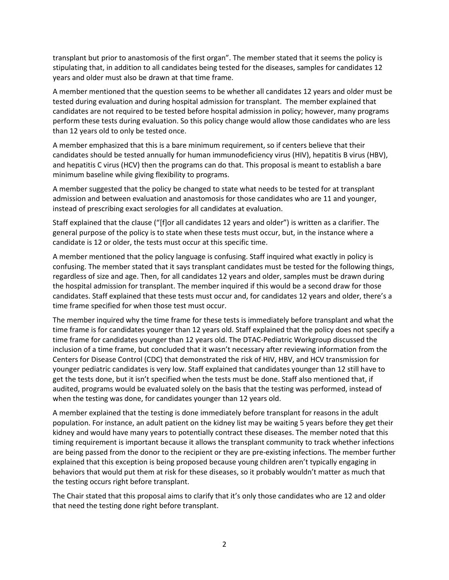transplant but prior to anastomosis of the first organ". The member stated that it seems the policy is stipulating that, in addition to all candidates being tested for the diseases, samples for candidates 12 years and older must also be drawn at that time frame.

A member mentioned that the question seems to be whether all candidates 12 years and older must be tested during evaluation and during hospital admission for transplant. The member explained that candidates are not required to be tested before hospital admission in policy; however, many programs perform these tests during evaluation. So this policy change would allow those candidates who are less than 12 years old to only be tested once.

A member emphasized that this is a bare minimum requirement, so if centers believe that their candidates should be tested annually for human immunodeficiency virus (HIV), hepatitis B virus (HBV), and hepatitis C virus (HCV) then the programs can do that. This proposal is meant to establish a bare minimum baseline while giving flexibility to programs.

A member suggested that the policy be changed to state what needs to be tested for at transplant admission and between evaluation and anastomosis for those candidates who are 11 and younger, instead of prescribing exact serologies for all candidates at evaluation.

Staff explained that the clause ("[f]or all candidates 12 years and older") is written as a clarifier. The general purpose of the policy is to state when these tests must occur, but, in the instance where a candidate is 12 or older, the tests must occur at this specific time.

A member mentioned that the policy language is confusing. Staff inquired what exactly in policy is confusing. The member stated that it says transplant candidates must be tested for the following things, regardless of size and age. Then, for all candidates 12 years and older, samples must be drawn during the hospital admission for transplant. The member inquired if this would be a second draw for those candidates. Staff explained that these tests must occur and, for candidates 12 years and older, there's a time frame specified for when those test must occur.

The member inquired why the time frame for these tests is immediately before transplant and what the time frame is for candidates younger than 12 years old. Staff explained that the policy does not specify a time frame for candidates younger than 12 years old. The DTAC-Pediatric Workgroup discussed the inclusion of a time frame, but concluded that it wasn't necessary after reviewing information from the Centers for Disease Control (CDC) that demonstrated the risk of HIV, HBV, and HCV transmission for younger pediatric candidates is very low. Staff explained that candidates younger than 12 still have to get the tests done, but it isn't specified when the tests must be done. Staff also mentioned that, if audited, programs would be evaluated solely on the basis that the testing was performed, instead of when the testing was done, for candidates younger than 12 years old.

A member explained that the testing is done immediately before transplant for reasons in the adult population. For instance, an adult patient on the kidney list may be waiting 5 years before they get their kidney and would have many years to potentially contract these diseases. The member noted that this timing requirement is important because it allows the transplant community to track whether infections are being passed from the donor to the recipient or they are pre-existing infections. The member further explained that this exception is being proposed because young children aren't typically engaging in behaviors that would put them at risk for these diseases, so it probably wouldn't matter as much that the testing occurs right before transplant.

The Chair stated that this proposal aims to clarify that it's only those candidates who are 12 and older that need the testing done right before transplant.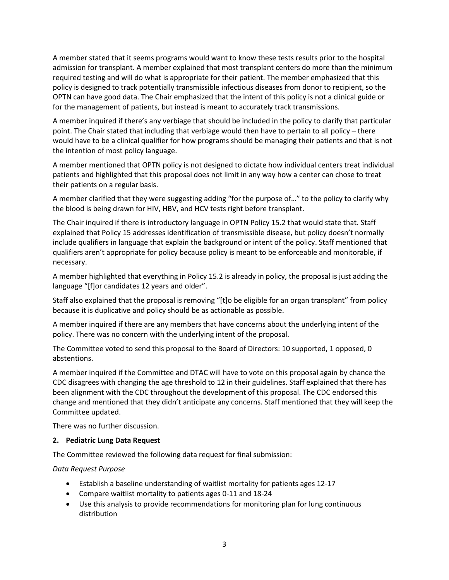A member stated that it seems programs would want to know these tests results prior to the hospital admission for transplant. A member explained that most transplant centers do more than the minimum required testing and will do what is appropriate for their patient. The member emphasized that this policy is designed to track potentially transmissible infectious diseases from donor to recipient, so the OPTN can have good data. The Chair emphasized that the intent of this policy is not a clinical guide or for the management of patients, but instead is meant to accurately track transmissions.

A member inquired if there's any verbiage that should be included in the policy to clarify that particular point. The Chair stated that including that verbiage would then have to pertain to all policy – there would have to be a clinical qualifier for how programs should be managing their patients and that is not the intention of most policy language.

A member mentioned that OPTN policy is not designed to dictate how individual centers treat individual patients and highlighted that this proposal does not limit in any way how a center can chose to treat their patients on a regular basis.

A member clarified that they were suggesting adding "for the purpose of…" to the policy to clarify why the blood is being drawn for HIV, HBV, and HCV tests right before transplant.

The Chair inquired if there is introductory language in OPTN Policy 15.2 that would state that. Staff explained that Policy 15 addresses identification of transmissible disease, but policy doesn't normally include qualifiers in language that explain the background or intent of the policy. Staff mentioned that qualifiers aren't appropriate for policy because policy is meant to be enforceable and monitorable, if necessary.

A member highlighted that everything in Policy 15.2 is already in policy, the proposal is just adding the language "[f]or candidates 12 years and older".

Staff also explained that the proposal is removing "[t]o be eligible for an organ transplant" from policy because it is duplicative and policy should be as actionable as possible.

A member inquired if there are any members that have concerns about the underlying intent of the policy. There was no concern with the underlying intent of the proposal.

The Committee voted to send this proposal to the Board of Directors: 10 supported, 1 opposed, 0 abstentions.

A member inquired if the Committee and DTAC will have to vote on this proposal again by chance the CDC disagrees with changing the age threshold to 12 in their guidelines. Staff explained that there has been alignment with the CDC throughout the development of this proposal. The CDC endorsed this change and mentioned that they didn't anticipate any concerns. Staff mentioned that they will keep the Committee updated.

There was no further discussion.

#### **2. Pediatric Lung Data Request**

The Committee reviewed the following data request for final submission:

#### *Data Request Purpose*

- Establish a baseline understanding of waitlist mortality for patients ages 12-17
- Compare waitlist mortality to patients ages 0-11 and 18-24
- Use this analysis to provide recommendations for monitoring plan for lung continuous distribution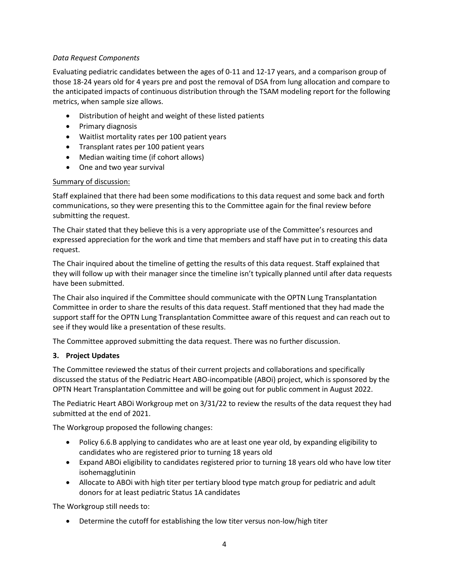## *Data Request Components*

Evaluating pediatric candidates between the ages of 0-11 and 12-17 years, and a comparison group of those 18-24 years old for 4 years pre and post the removal of DSA from lung allocation and compare to the anticipated impacts of continuous distribution through the TSAM modeling report for the following metrics, when sample size allows.

- Distribution of height and weight of these listed patients
- Primary diagnosis
- Waitlist mortality rates per 100 patient years
- Transplant rates per 100 patient years
- Median waiting time (if cohort allows)
- One and two year survival

## Summary of discussion:

Staff explained that there had been some modifications to this data request and some back and forth communications, so they were presenting this to the Committee again for the final review before submitting the request.

The Chair stated that they believe this is a very appropriate use of the Committee's resources and expressed appreciation for the work and time that members and staff have put in to creating this data request.

The Chair inquired about the timeline of getting the results of this data request. Staff explained that they will follow up with their manager since the timeline isn't typically planned until after data requests have been submitted.

The Chair also inquired if the Committee should communicate with the OPTN Lung Transplantation Committee in order to share the results of this data request. Staff mentioned that they had made the support staff for the OPTN Lung Transplantation Committee aware of this request and can reach out to see if they would like a presentation of these results.

The Committee approved submitting the data request. There was no further discussion.

# **3. Project Updates**

The Committee reviewed the status of their current projects and collaborations and specifically discussed the status of the Pediatric Heart ABO-incompatible (ABOi) project, which is sponsored by the OPTN Heart Transplantation Committee and will be going out for public comment in August 2022.

The Pediatric Heart ABOi Workgroup met on 3/31/22 to review the results of the data request they had submitted at the end of 2021.

The Workgroup proposed the following changes:

- Policy 6.6.B applying to candidates who are at least one year old, by expanding eligibility to candidates who are registered prior to turning 18 years old
- Expand ABOi eligibility to candidates registered prior to turning 18 years old who have low titer isohemagglutinin
- Allocate to ABOi with high titer per tertiary blood type match group for pediatric and adult donors for at least pediatric Status 1A candidates

The Workgroup still needs to:

• Determine the cutoff for establishing the low titer versus non-low/high titer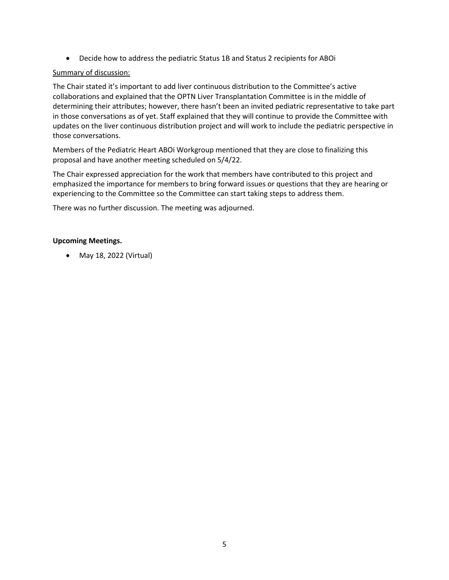• Decide how to address the pediatric Status 1B and Status 2 recipients for ABOi

#### Summary of discussion:

The Chair stated it's important to add liver continuous distribution to the Committee's active collaborations and explained that the OPTN Liver Transplantation Committee is in the middle of determining their attributes; however, there hasn't been an invited pediatric representative to take part in those conversations as of yet. Staff explained that they will continue to provide the Committee with updates on the liver continuous distribution project and will work to include the pediatric perspective in those conversations.

Members of the Pediatric Heart ABOi Workgroup mentioned that they are close to finalizing this proposal and have another meeting scheduled on 5/4/22.

The Chair expressed appreciation for the work that members have contributed to this project and emphasized the importance for members to bring forward issues or questions that they are hearing or experiencing to the Committee so the Committee can start taking steps to address them.

There was no further discussion. The meeting was adjourned.

#### **Upcoming Meetings.**

• May 18, 2022 (Virtual)